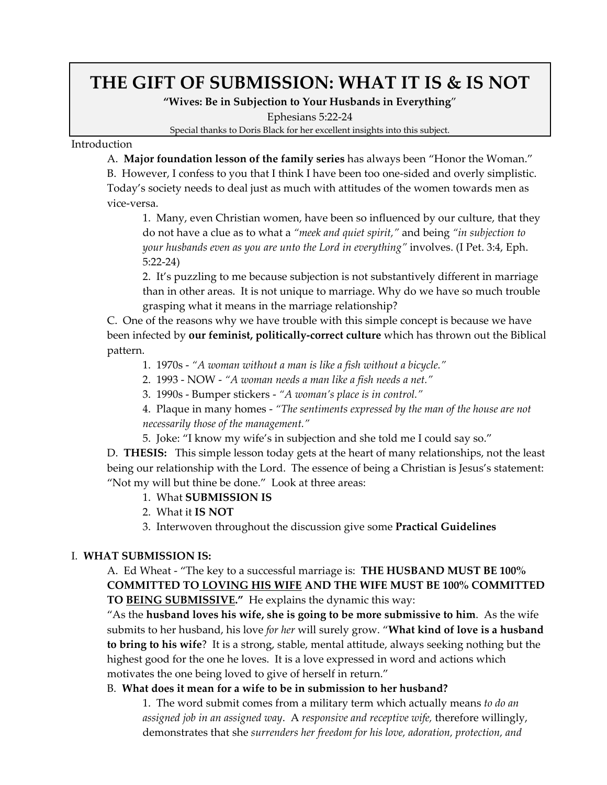# **THE GIFT OF SUBMISSION: WHAT IT IS & IS NOT**

**"Wives: Be in Subjection to Your Husbands in Everything**"

Ephesians 5:22‐24

Special thanks to Doris Black for her excellent insights into this subject.

Introduction

A. **Major foundation lesson of the family series** has always been "Honor the Woman."

B. However, I confess to you that I think I have been too one‐sided and overly simplistic. Today's society needs to deal just as much with attitudes of the women towards men as vice‐versa.

1. Many, even Christian women, have been so influenced by our culture, that they do not have a clue as to what a *"meek and quiet spirit,"* and being *"in subjection to your husbands even as you are unto the Lord in everything"* involves. (I Pet. 3:4, Eph. 5:22‐24)

2. It's puzzling to me because subjection is not substantively different in marriage than in other areas. It is not unique to marriage. Why do we have so much trouble grasping what it means in the marriage relationship?

C. One of the reasons why we have trouble with this simple concept is because we have been infected by **our feminist, politically‐correct culture** which has thrown out the Biblical pattern.

1. 1970s ‐ *"A woman without a man is like a fish without a bicycle."*

2. 1993 ‐ NOW ‐ *"A woman needs a man like a fish needs a net."*

- 3. 1990s ‐ Bumper stickers ‐ *"A woman's place is in control."*
- 4. Plaque in many homes ‐ *"The sentiments expressed by the man of the house are not necessarily those of the management."*
- 5. Joke: "I know my wife's in subjection and she told me I could say so."

D. **THESIS:** This simple lesson today gets at the heart of many relationships, not the least being our relationship with the Lord. The essence of being a Christian is Jesus's statement: "Not my will but thine be done." Look at three areas:

- 1. What **SUBMISSION IS**
- 2. What it **IS NOT**
- 3. Interwoven throughout the discussion give some **Practical Guidelines**

# I. **WHAT SUBMISSION IS:**

A. Ed Wheat ‐ "The key to a successful marriage is: **THE HUSBAND MUST BE 100% COMMITTED TO LOVING HIS WIFE AND THE WIFE MUST BE 100% COMMITTED TO BEING SUBMISSIVE."** He explains the dynamic this way:

"As the **husband loves his wife, she is going to be more submissive to him**. As the wife submits to her husband, his love *for her* will surely grow. "**What kind of love is a husband to bring to his wife**? It is a strong, stable, mental attitude, always seeking nothing but the highest good for the one he loves. It is a love expressed in word and actions which motivates the one being loved to give of herself in return."

# B. **What does it mean for a wife to be in submission to her husband?**

1. The word submit comes from a military term which actually means *to do an assigned job in an assigned way*. A *responsive and receptive wife,* therefore willingly, demonstrates that she *surrenders her freedom for his love, adoration, protection, and*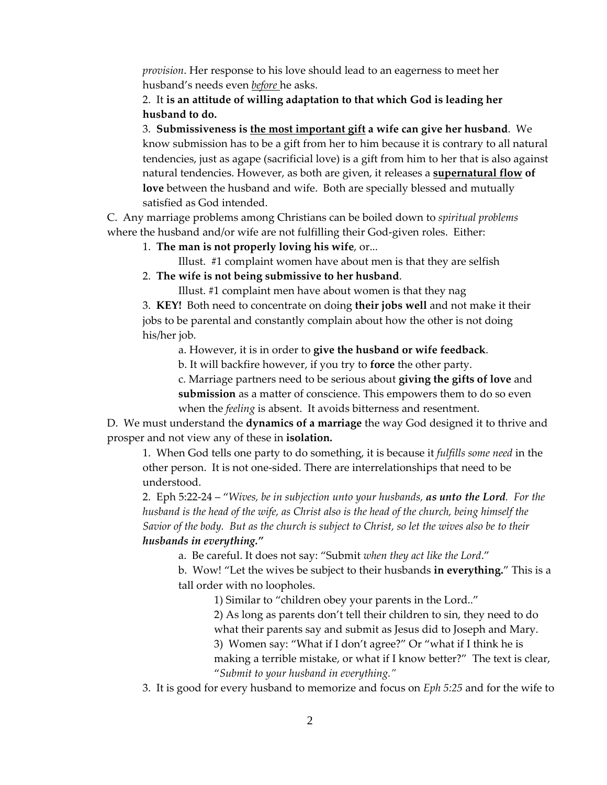*provision*. Her response to his love should lead to an eagerness to meet her husband's needs even *before* he asks.

# 2. It **is an attitude of willing adaptation to that which God is leading her husband to do.**

3. **Submissiveness is the most important gift a wife can give her husband**. We know submission has to be a gift from her to him because it is contrary to all natural tendencies, just as agape (sacrificial love) is a gift from him to her that is also against natural tendencies. However, as both are given, it releases a **supernatural flow of love** between the husband and wife. Both are specially blessed and mutually satisfied as God intended.

C. Any marriage problems among Christians can be boiled down to *spiritual problems* where the husband and/or wife are not fulfilling their God-given roles. Either:

1. **The man is not properly loving his wife**, or...

Illust. #1 complaint women have about men is that they are selfish

2. **The wife is not being submissive to her husband**.

Illust. #1 complaint men have about women is that they nag

3. **KEY!** Both need to concentrate on doing **their jobs well** and not make it their jobs to be parental and constantly complain about how the other is not doing his/her job.

a. However, it is in order to **give the husband or wife feedback**.

b. It will backfire however, if you try to **force** the other party.

c. Marriage partners need to be serious about **giving the gifts of love** and **submission** as a matter of conscience. This empowers them to do so even when the *feeling* is absent. It avoids bitterness and resentment.

D. We must understand the **dynamics of a marriage** the way God designed it to thrive and prosper and not view any of these in **isolation.**

1. When God tells one party to do something, it is because it *fulfills some need* in the other person. It is not one‐sided. There are interrelationships that need to be understood.

2. Eph 5:22‐24 – "*Wives, be in subjection unto your husbands, as unto the Lord. For the* husband is the head of the wife, as Christ also is the head of the church, being himself the Savior of the body. But as the church is subject to Christ, so let the wives also be to their *husbands in everything."*

a. Be careful. It does not say: "Submit *when they act like the Lord*."

b. Wow! "Let the wives be subject to their husbands **in everything.**" This is a tall order with no loopholes.

1) Similar to "children obey your parents in the Lord.."

2) As long as parents don't tell their children to sin, they need to do what their parents say and submit as Jesus did to Joseph and Mary.

3) Women say: "What if I don't agree?" Or "what if I think he is making a terrible mistake, or what if I know better?" The text is clear, "*Submit to your husband in everything."*

3. It is good for every husband to memorize and focus on *Eph 5:25* and for the wife to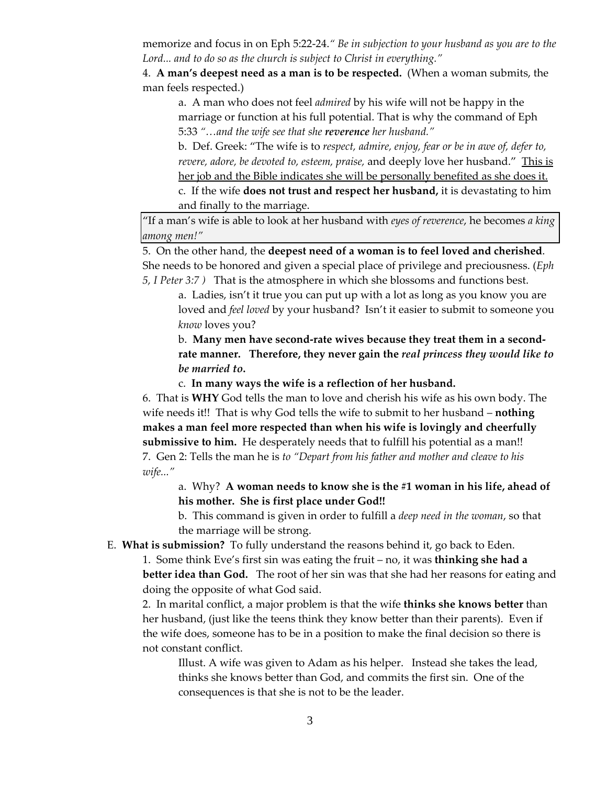memorize and focus in on Eph 5:22‐24.*" Be in subjection to your husband as you are to the Lord... and to do so as the church is subject to Christ in everything."*

4. **A man's deepest need as a man is to be respected.** (When a woman submits, the man feels respected.)

a. A man who does not feel *admired* by his wife will not be happy in the marriage or function at his full potential. That is why the command of Eph 5:33 *"…and the wife see that she reverence her husband."*

b. Def. Greek: "The wife is to *respect, admire, enjoy, fear or be in awe of, defer to, revere, adore, be devoted to, esteem, praise,* and deeply love her husband." This is her job and the Bible indicates she will be personally benefited as she does it.

c. If the wife **does not trust and respect her husband,** it is devastating to him and finally to the marriage.

"If a man's wife is able to look at her husband with *eyes of reverence*, he becomes *a king among men!"*

 5. On the other hand, the **deepest need of a woman is to feel loved and cherished**. She needs to be honored and given a special place of privilege and preciousness. (*Eph 5, I Peter 3:7 )* That is the atmosphere in which she blossoms and functions best.

a. Ladies, isn't it true you can put up with a lot as long as you know you are loved and *feel loved* by your husband? Isn't it easier to submit to someone you *know* loves you?

b. **Many men have second‐rate wives because they treat them in a second‐ rate manner. Therefore, they never gain the** *real princess they would like to be married to***.**

c. **In many ways the wife is a reflection of her husband.**

6. That is **WHY** God tells the man to love and cherish his wife as his own body. The wife needs it!! That is why God tells the wife to submit to her husband – **nothing makes a man feel more respected than when his wife is lovingly and cheerfully submissive to him.** He desperately needs that to fulfill his potential as a man!! 7. Gen 2: Tells the man he is *to "Depart from his father and mother and cleave to his wife..."*

a. Why? **A woman needs to know she is the #1 woman in his life, ahead of his mother. She is first place under God!!**

b. This command is given in order to fulfill a *deep need in the woman*, so that the marriage will be strong.

E. **What is submission?** To fully understand the reasons behind it, go back to Eden.

1. Some think Eve's first sin was eating the fruit – no, it was **thinking she had a better idea than God.** The root of her sin was that she had her reasons for eating and doing the opposite of what God said.

2. In marital conflict, a major problem is that the wife **thinks she knows better** than her husband, (just like the teens think they know better than their parents). Even if the wife does, someone has to be in a position to make the final decision so there is not constant conflict.

Illust. A wife was given to Adam as his helper. Instead she takes the lead, thinks she knows better than God, and commits the first sin. One of the consequences is that she is not to be the leader.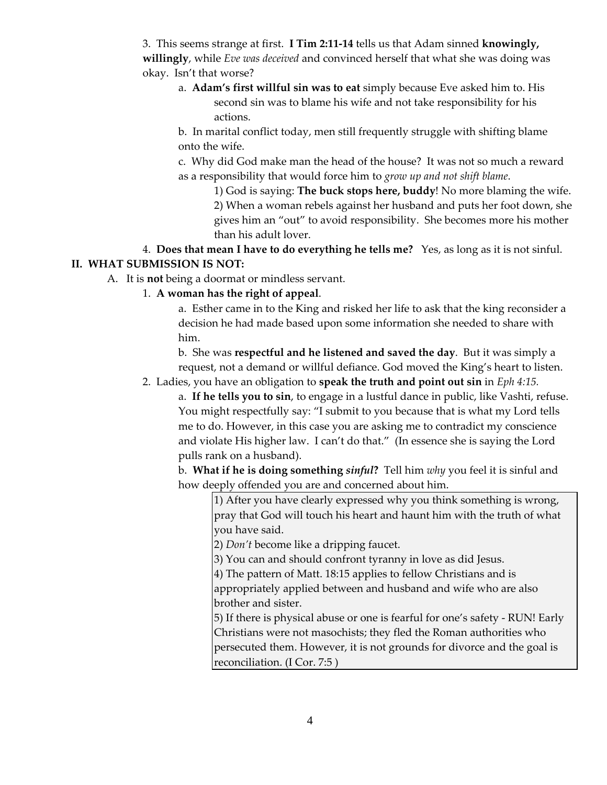3. This seems strange at first. **I Tim 2:11‐14** tells us that Adam sinned **knowingly, willingly**, while *Eve was deceived* and convinced herself that what she was doing was okay. Isn't that worse?

a. **Adam's first willful sin was to eat** simply because Eve asked him to. His second sin was to blame his wife and not take responsibility for his actions.

b. In marital conflict today, men still frequently struggle with shifting blame onto the wife.

c. Why did God make man the head of the house? It was not so much a reward as a responsibility that would force him to *grow up and not shift blame*.

1) God is saying: **The buck stops here, buddy**! No more blaming the wife. 2) When a woman rebels against her husband and puts her foot down, she gives him an "out" to avoid responsibility. She becomes more his mother than his adult lover.

4. **Does that mean I have to do everything he tells me?**  Yes, as long as it is not sinful. **II. WHAT SUBMISSION IS NOT:**

A. It is **not** being a doormat or mindless servant.

# 1. **A woman has the right of appeal**.

a. Esther came in to the King and risked her life to ask that the king reconsider a decision he had made based upon some information she needed to share with him.

b. She was **respectful and he listened and saved the day**. But it was simply a request, not a demand or willful defiance. God moved the King's heart to listen.

2. Ladies, you have an obligation to **speak the truth and point out sin** in *Eph 4:15.*

a. **If he tells you to sin**, to engage in a lustful dance in public, like Vashti, refuse. You might respectfully say: "I submit to you because that is what my Lord tells me to do. However, in this case you are asking me to contradict my conscience and violate His higher law. I can't do that." (In essence she is saying the Lord pulls rank on a husband).

b. **What if he is doing something** *sinful***?** Tell him *why* you feel it is sinful and how deeply offended you are and concerned about him.

1) After you have clearly expressed why you think something is wrong, pray that God will touch his heart and haunt him with the truth of what you have said.

2) *Don't* become like a dripping faucet.

3) You can and should confront tyranny in love as did Jesus.

4) The pattern of Matt. 18:15 applies to fellow Christians and is

appropriately applied between and husband and wife who are also brother and sister.

5) If there is physical abuse or one is fearful for one's safety ‐ RUN! Early Christians were not masochists; they fled the Roman authorities who persecuted them. However, it is not grounds for divorce and the goal is reconciliation. (I Cor. 7:5 )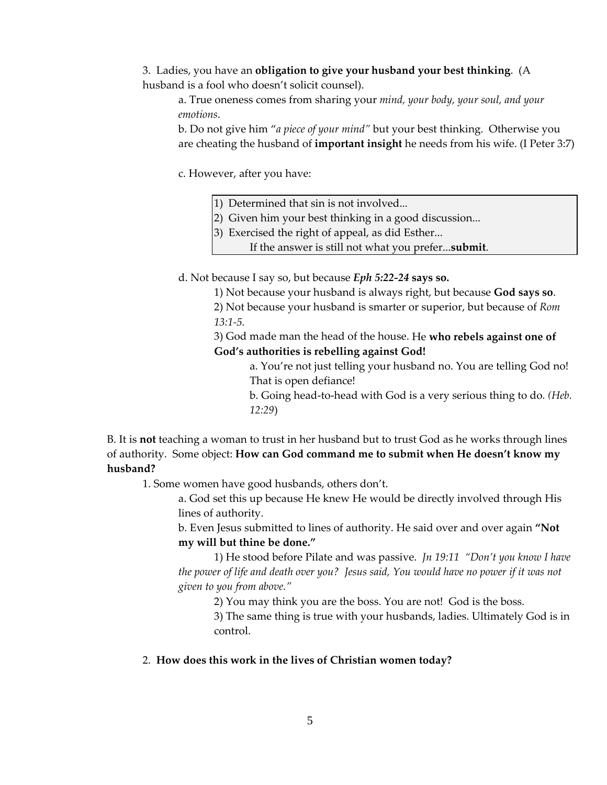3. Ladies, you have an **obligation to give your husband your best thinking**. (A husband is a fool who doesn't solicit counsel).

a. True oneness comes from sharing your *mind, your body, your soul, and your emotions*.

b. Do not give him "*a piece of your mind"* but your best thinking. Otherwise you are cheating the husband of **important insight** he needs from his wife. (I Peter 3:7)

c. However, after you have:

- 1) Determined that sin is not involved...
- 2) Given him your best thinking in a good discussion...
- 3) Exercised the right of appeal, as did Esther...

If the answer is still not what you prefer...**submit**.

d. Not because I say so, but because *Eph 5:22‐24* **says so.**

1) Not because your husband is always right, but because **God says so**.

2) Not because your husband is smarter or superior, but because of *Rom 13:1‐5.*

3) God made man the head of the house. He **who rebels against one of God's authorities is rebelling against God!**

> a. You're not just telling your husband no. You are telling God no! That is open defiance!

> b. Going head‐to‐head with God is a very serious thing to do*. (Heb. 12:29*)

B. It is **not** teaching a woman to trust in her husband but to trust God as he works through lines of authority. Some object: **How can God command me to submit when He doesn't know my husband?**

1. Some women have good husbands, others don't.

a. God set this up because He knew He would be directly involved through His lines of authority.

b. Even Jesus submitted to lines of authority. He said over and over again **"Not my will but thine be done."**

1) He stood before Pilate and was passive. *Jn 19:11 "Don't you know I have* the power of life and death over you? Jesus said, You would have no power if it was not *given to you from above."* 

2) You may think you are the boss. You are not! God is the boss.

3) The same thing is true with your husbands, ladies. Ultimately God is in control.

## 2. **How does this work in the lives of Christian women today?**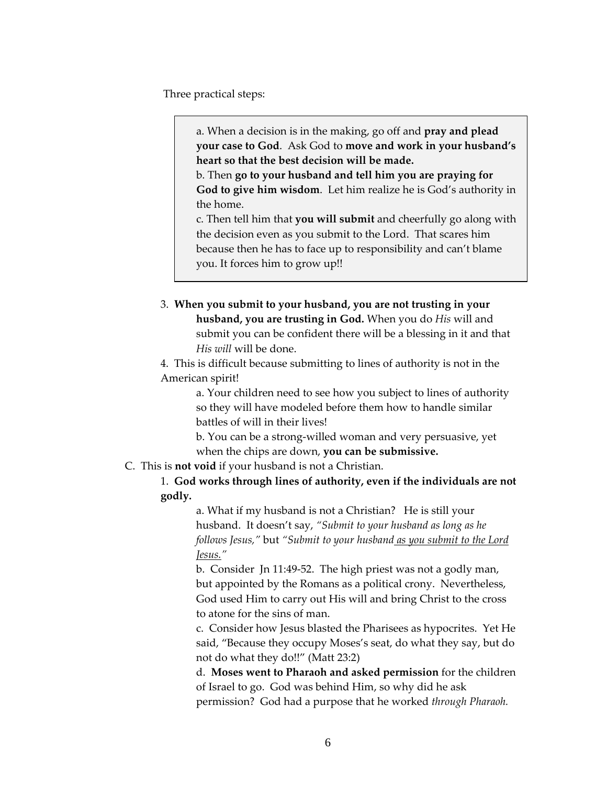Three practical steps:

a. When a decision is in the making, go off and **pray and plead your case to God**. Ask God to **move and work in your husband's heart so that the best decision will be made.**

b. Then **go to your husband and tell him you are praying for God to give him wisdom**. Let him realize he is God's authority in the home.

c. Then tell him that **you will submit** and cheerfully go along with the decision even as you submit to the Lord. That scares him because then he has to face up to responsibility and can't blame you. It forces him to grow up!!

3. **When you submit to your husband, you are not trusting in your husband, you are trusting in God.** When you do *His* will and submit you can be confident there will be a blessing in it and that *His will* will be done.

4. This is difficult because submitting to lines of authority is not in the American spirit!

> a. Your children need to see how you subject to lines of authority so they will have modeled before them how to handle similar battles of will in their lives!

b. You can be a strong‐willed woman and very persuasive, yet when the chips are down, **you can be submissive.**

C. This is **not void** if your husband is not a Christian.

1. **God works through lines of authority, even if the individuals are not godly.**

> a. What if my husband is not a Christian? He is still your husband. It doesn't say, *"Submit to your husband as long as he follows Jesus,"* but *"Submit to your husband as you submit to the Lord Jesus."*

b. Consider Jn 11:49‐52. The high priest was not a godly man, but appointed by the Romans as a political crony. Nevertheless, God used Him to carry out His will and bring Christ to the cross to atone for the sins of man.

c. Consider how Jesus blasted the Pharisees as hypocrites. Yet He said, "Because they occupy Moses's seat, do what they say, but do not do what they do!!" (Matt 23:2)

d. **Moses went to Pharaoh and asked permission** for the children of Israel to go. God was behind Him, so why did he ask permission? God had a purpose that he worked *through Pharaoh.*